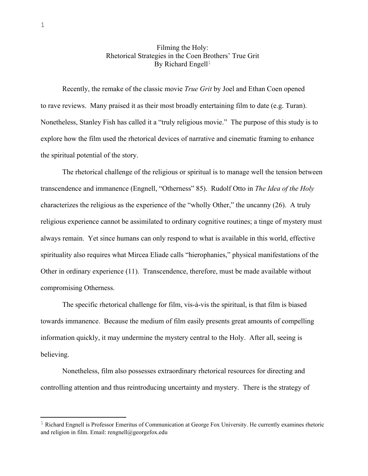## Filming the Holy: Rhetorical Strategies in the Coen Brothers' True Grit By Richard Engell<sup>1</sup>

Recently, the remake of the classic movie *True Grit* by Joel and Ethan Coen opened to rave reviews. Many praised it as their most broadly entertaining film to date (e.g. Turan). Nonetheless, Stanley Fish has called it a "truly religious movie." The purpose of this study is to explore how the film used the rhetorical devices of narrative and cinematic framing to enhance the spiritual potential of the story.

The rhetorical challenge of the religious or spiritual is to manage well the tension between transcendence and immanence (Engnell, "Otherness" 85). Rudolf Otto in *The Idea of the Holy* characterizes the religious as the experience of the "wholly Other," the uncanny (26). A truly religious experience cannot be assimilated to ordinary cognitive routines; a tinge of mystery must always remain. Yet since humans can only respond to what is available in this world, effective spirituality also requires what Mircea Eliade calls "hierophanies," physical manifestations of the Other in ordinary experience (11). Transcendence, therefore, must be made available without compromising Otherness.

The specific rhetorical challenge for film, vis-à-vis the spiritual, is that film is biased towards immanence. Because the medium of film easily presents great amounts of compelling information quickly, it may undermine the mystery central to the Holy. After all, seeing is believing.

Nonetheless, film also possesses extraordinary rhetorical resources for directing and controlling attention and thus reintroducing uncertainty and mystery. There is the strategy of

 $1$  Richard Engnell is Professor Emeritus of Communication at George Fox University. He currently examines rhetoric and religion in film. Email: rengnell@georgefox.edu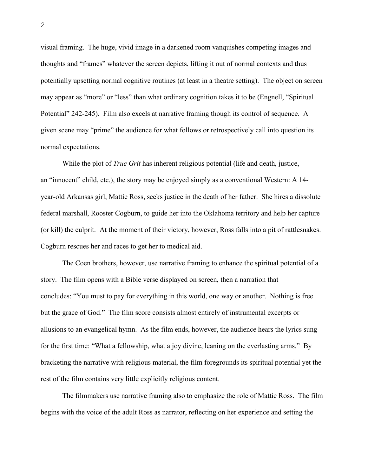visual framing. The huge, vivid image in a darkened room vanquishes competing images and thoughts and "frames" whatever the screen depicts, lifting it out of normal contexts and thus potentially upsetting normal cognitive routines (at least in a theatre setting). The object on screen may appear as "more" or "less" than what ordinary cognition takes it to be (Engnell, "Spiritual Potential" 242-245). Film also excels at narrative framing though its control of sequence. A given scene may "prime" the audience for what follows or retrospectively call into question its normal expectations.

While the plot of *True Grit* has inherent religious potential (life and death, justice, an "innocent" child, etc.), the story may be enjoyed simply as a conventional Western: A 14 year-old Arkansas girl, Mattie Ross, seeks justice in the death of her father. She hires a dissolute federal marshall, Rooster Cogburn, to guide her into the Oklahoma territory and help her capture (or kill) the culprit. At the moment of their victory, however, Ross falls into a pit of rattlesnakes. Cogburn rescues her and races to get her to medical aid.

The Coen brothers, however, use narrative framing to enhance the spiritual potential of a story. The film opens with a Bible verse displayed on screen, then a narration that concludes: "You must to pay for everything in this world, one way or another. Nothing is free but the grace of God." The film score consists almost entirely of instrumental excerpts or allusions to an evangelical hymn. As the film ends, however, the audience hears the lyrics sung for the first time: "What a fellowship, what a joy divine, leaning on the everlasting arms." By bracketing the narrative with religious material, the film foregrounds its spiritual potential yet the rest of the film contains very little explicitly religious content.

The filmmakers use narrative framing also to emphasize the role of Mattie Ross. The film begins with the voice of the adult Ross as narrator, reflecting on her experience and setting the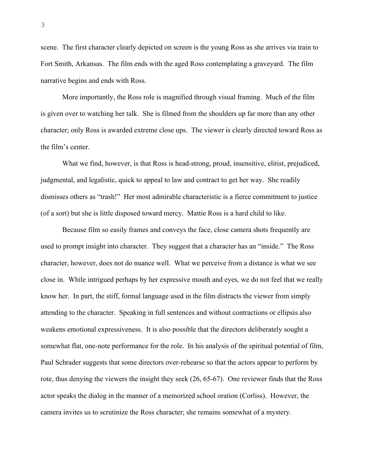scene. The first character clearly depicted on screen is the young Ross as she arrives via train to Fort Smith, Arkansas. The film ends with the aged Ross contemplating a graveyard. The film narrative begins and ends with Ross.

More importantly, the Ross role is magnified through visual framing. Much of the film is given over to watching her talk. She is filmed from the shoulders up far more than any other character; only Ross is awarded extreme close ups. The viewer is clearly directed toward Ross as the film's center.

What we find, however, is that Ross is head-strong, proud, insensitive, elitist, prejudiced, judgmental, and legalistic, quick to appeal to law and contract to get her way. She readily dismisses others as "trash!" Her most admirable characteristic is a fierce commitment to justice (of a sort) but she is little disposed toward mercy. Mattie Ross is a hard child to like.

Because film so easily frames and conveys the face, close camera shots frequently are used to prompt insight into character. They suggest that a character has an "inside." The Ross character, however, does not do nuance well. What we perceive from a distance is what we see close in. While intrigued perhaps by her expressive mouth and eyes, we do not feel that we really know her. In part, the stiff, formal language used in the film distracts the viewer from simply attending to the character. Speaking in full sentences and without contractions or ellipsis also weakens emotional expressiveness. It is also possible that the directors deliberately sought a somewhat flat, one-note performance for the role. In his analysis of the spiritual potential of film, Paul Schrader suggests that some directors over-rehearse so that the actors appear to perform by rote, thus denying the viewers the insight they seek (26, 65-67). One reviewer finds that the Ross actor speaks the dialog in the manner of a memorized school oration (Corliss). However, the camera invites us to scrutinize the Ross character; she remains somewhat of a mystery.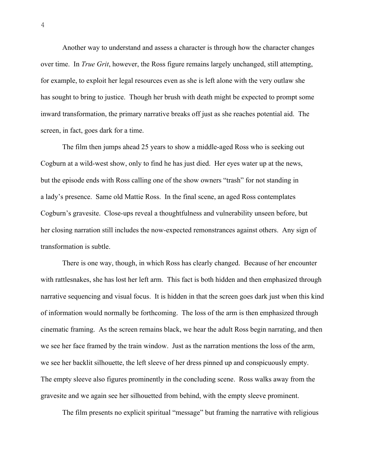Another way to understand and assess a character is through how the character changes over time. In *True Grit*, however, the Ross figure remains largely unchanged, still attempting, for example, to exploit her legal resources even as she is left alone with the very outlaw she has sought to bring to justice. Though her brush with death might be expected to prompt some inward transformation, the primary narrative breaks off just as she reaches potential aid. The screen, in fact, goes dark for a time.

The film then jumps ahead 25 years to show a middle-aged Ross who is seeking out Cogburn at a wild-west show, only to find he has just died. Her eyes water up at the news, but the episode ends with Ross calling one of the show owners "trash" for not standing in a lady's presence. Same old Mattie Ross. In the final scene, an aged Ross contemplates Cogburn's gravesite. Close-ups reveal a thoughtfulness and vulnerability unseen before, but her closing narration still includes the now-expected remonstrances against others. Any sign of transformation is subtle.

There is one way, though, in which Ross has clearly changed. Because of her encounter with rattlesnakes, she has lost her left arm. This fact is both hidden and then emphasized through narrative sequencing and visual focus. It is hidden in that the screen goes dark just when this kind of information would normally be forthcoming. The loss of the arm is then emphasized through cinematic framing. As the screen remains black, we hear the adult Ross begin narrating, and then we see her face framed by the train window. Just as the narration mentions the loss of the arm, we see her backlit silhouette, the left sleeve of her dress pinned up and conspicuously empty. The empty sleeve also figures prominently in the concluding scene. Ross walks away from the gravesite and we again see her silhouetted from behind, with the empty sleeve prominent.

The film presents no explicit spiritual "message" but framing the narrative with religious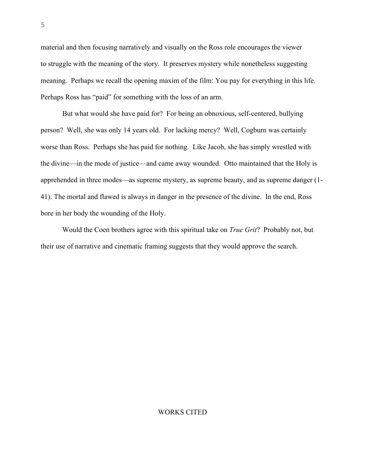material and then focusing narratively and visually on the Ross role encourages the viewer to struggle with the meaning of the story. It preserves mystery while nonetheless suggesting meaning. Perhaps we recall the opening maxim of the film: You pay for everything in this life. Perhaps Ross has "paid" for something with the loss of an arm.

But what would she have paid for? For being an obnoxious, self-centered, bullying person? Well, she was only 14 years old. For lacking mercy? Well, Cogburn was certainly worse than Ross. Perhaps she has paid for nothing. Like Jacob, she has simply wrestled with the divine—in the mode of justice—and came away wounded. Otto maintained that the Holy is apprehended in three modes—as supreme mystery, as supreme beauty, and as supreme danger (1- 41). The mortal and flawed is always in danger in the presence of the divine. In the end, Ross bore in her body the wounding of the Holy.

Would the Coen brothers agree with this spiritual take on *True Grit*? Probably not, but their use of narrative and cinematic framing suggests that they would approve the search.

## WORKS CITED